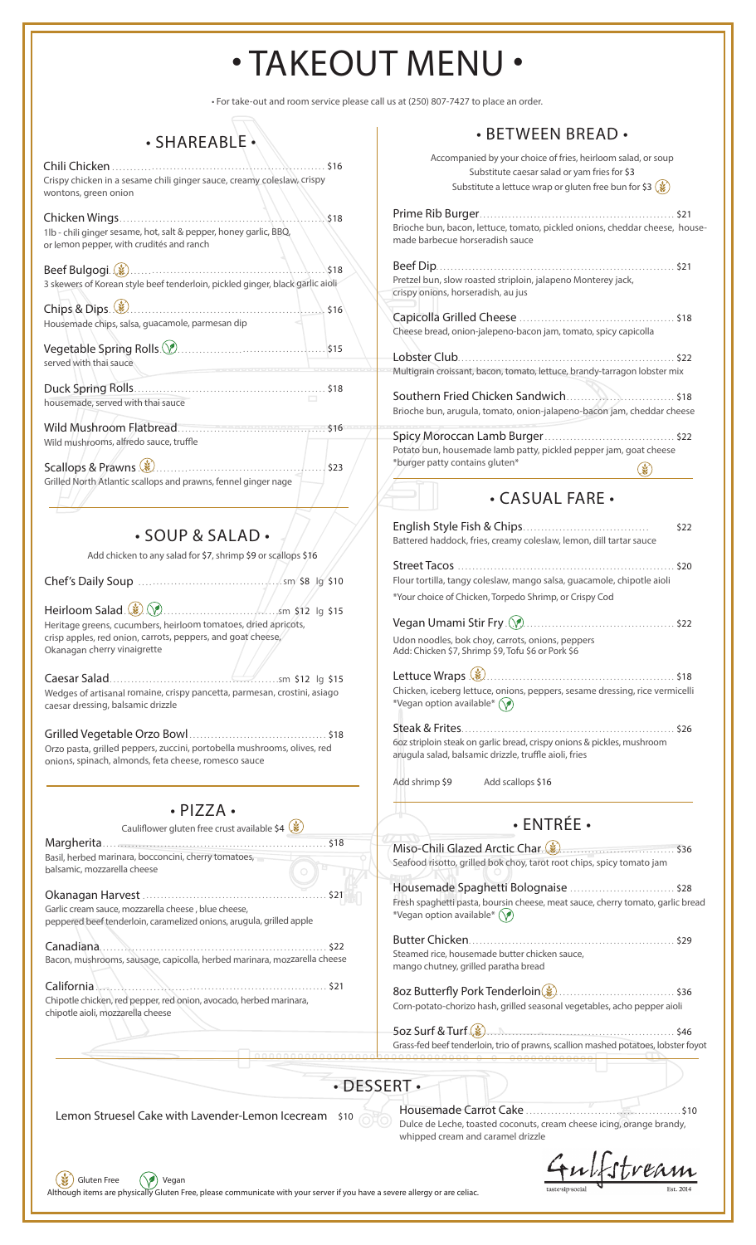# • TAKEOUT MENU •

• For take-out and room service please call us at (250) 807-7427 to place an order.

#### • SHAREABLE

Chili Chicken . . . . . . . . . . . . . . . . . . . . . . . . . . . . . . . . . . . . . . . . . . . . . . . . . . . . . . . . . . \$16 Crispy chicken in a sesame chili ginger sauce, creamy coleslaw, crispy wontons, green onion

| 1lb - chili ginger sesame, hot, salt & pepper, honey garlic, BBQ,<br>or lemon pepper, with crudités and ranch |
|---------------------------------------------------------------------------------------------------------------|
| 3 skewers of Korean style beef tenderloin, pickled ginger, black garlic aioli                                 |
| Chips & Dips (2) 2010 1999<br>Housemade chips, salsa, guacamole, parmesan dip                                 |

| served with thai sauce |  |
|------------------------|--|
|                        |  |

housemade, served with thai sauce

Wild Mushroom Flatbread . . . . . . . . . . . . . . . . . . . . . . . . . . . . . . . . . . . . . . . . . \$16 Wild mushrooms, alfredo sauce, truffle

Scallops & Prawns . . . . . . . . . . . . . . . . . . . . . . . . . . . . . . . . . . . . . . . . . . . . . . . . . . . . \$23 Grilled North Atlantic scallops and prawns, fennel ginger nage

• SOUP & SALAD •

Add chicken to any salad for \$7, shrimp \$9 or scallops \$16

Chef's Daily Soup . . . . . . . . . . . . . . . . . . . . . . . . . . . . . . . . . . . . . . . sm \$8 lg \$10

Heirloom Salad . . . . . . . . . . . . . . . . . . . . . . . . . . . . . . . . . . . . . . . . . . sm \$12 lg \$15 Heritage greens, cucumbers, heirloom tomatoes, dried apricots, crisp apples, red onion, carrots, peppers, and goat cheese, Okanagan cherry vinaigrette

Caesar Salad . . . . . . . . . . . . . . . . . . . . . . . . . . . . . . . . . . . . . . . . . . . . . . sm \$12 lg \$15 Wedges of artisanal romaine, crispy pancetta, parmesan, crostini, asiago caesar dressing, balsamic drizzle

Grilled Vegetable Orzo Bowl . . . . . . . . . . . . . . . . . . . . . . . . . . . . . . . . . . . . . . \$18 Orzo pasta, grilled peppers, zuccini, portobella mushrooms, olives, red onions, spinach, almonds, feta cheese, romesco sauce

• PIZZA •

Cauliflower gluten free crust available \$4  $($ Margherita . . . . . . . . . . . . . . . . . . . . . . . . . . . . . . . . . . . . . . . . . . . . . . . . . . . . . . . . . . . . . . \$18 Basil, herbed marinara, bocconcini, cherry tomatoes, balsamic, mozzarella cheese

Okanagan Harvest . . . . . . . . . . . . . . . . . . . . . . . . . . . . . . . . . . . . . . . . . . . . . . . . . . . \$21 Garlic cream sauce, mozzarella cheese , blue cheese, peppered beef tenderloin, caramelized onions, arugula, grilled apple

Canadiana............................................................... \$22 Bacon, mushrooms, sausage, capicolla, herbed marinara, mozzarella cheese

California . . . . . . . . . . . . . . . . . . . . . . . . . . . . . . . . . . . . . . . . . . . . . . . . . . . . . . . . . . . . . . . \$21 Chipotle chicken, red pepper, red onion, avocado, herbed marinara, chipotle aioli, mozzarella cheese

Gluten Free (V) Vegan

#### • BETWEEN BREAD •

|                         | DLI WELLIN DINLAD                                                                                                                                                                             |
|-------------------------|-----------------------------------------------------------------------------------------------------------------------------------------------------------------------------------------------|
| 16                      | Accompanied by your choice of fries, heirloom salad, or soup<br>Substitute caesar salad or yam fries for \$3<br>Substitute a lettuce wrap or gluten free bun for \$3 $(\dot{\ddot{\bm{g}}} )$ |
|                         |                                                                                                                                                                                               |
| 18                      |                                                                                                                                                                                               |
|                         | Brioche bun, bacon, lettuce, tomato, pickled onions, cheddar cheese, house-<br>made barbecue horseradish sauce                                                                                |
| 18                      |                                                                                                                                                                                               |
| ۱ŀ                      | Pretzel bun, slow roasted striploin, jalapeno Monterey jack,<br>crispy onions, horseradish, au jus                                                                                            |
| 16                      | Cheese bread, onion-jalepeno-bacon jam, tomato, spicy capicolla                                                                                                                               |
| 15                      |                                                                                                                                                                                               |
|                         | Multigrain croissant, bacon, tomato, lettuce, brandy-tarragon lobster mix                                                                                                                     |
| 18                      |                                                                                                                                                                                               |
| 16                      | Brioche bun, arugula, tomato, onion-jalapeno-bacon jam, cheddar cheese                                                                                                                        |
|                         |                                                                                                                                                                                               |
|                         | Potato bun, housemade lamb patty, pickled pepper jam, goat cheese                                                                                                                             |
| 23                      | *burger patty contains gluten*                                                                                                                                                                |
|                         | . CASUAL FARE .                                                                                                                                                                               |
|                         |                                                                                                                                                                                               |
|                         | \$22<br>Battered haddock, fries, creamy coleslaw, lemon, dill tartar sauce                                                                                                                    |
|                         |                                                                                                                                                                                               |
| .10                     | Flour tortilla, tangy coleslaw, mango salsa, guacamole, chipotle aioli                                                                                                                        |
|                         | *Your choice of Chicken, Torpedo Shrimp, or Crispy Cod                                                                                                                                        |
| 15                      |                                                                                                                                                                                               |
|                         |                                                                                                                                                                                               |
|                         | Udon noodles, bok choy, carrots, onions, peppers<br>Add: Chicken \$7, Shrimp \$9, Tofu \$6 or Pork \$6                                                                                        |
| 15                      |                                                                                                                                                                                               |
| JΟ                      | Chicken, iceberg lettuce, onions, peppers, sesame dressing, rice vermicelli<br>*Vegan option available* $(\sqrt{\bullet})$                                                                    |
|                         | Steak & Frites<br>$\dots$ \$26<br>.                                                                                                                                                           |
| 18ء                     | 602 striploin steak on garlic bread, crispy onions & pickles, mushroom<br>arugula salad, balsamic drizzle, truffle aioli, fries                                                               |
|                         | Add shrimp \$9<br>Add scallops \$16                                                                                                                                                           |
|                         |                                                                                                                                                                                               |
|                         |                                                                                                                                                                                               |
|                         | · ENTRÉE ·                                                                                                                                                                                    |
| 518                     | Miso-Chili Glazed Arctic Char. (3)                                                                                                                                                            |
|                         | Seafood risotto, grilled bok choy, tarot root chips, spicy tomato jam                                                                                                                         |
| 521                     | Housemade Spaghetti Bolognaise  \$28<br>Fresh spaghetti pasta, boursin cheese, meat sauce, cherry tomato, garlic bread<br>*Vegan option available* $(\forall)$                                |
|                         |                                                                                                                                                                                               |
| 522                     |                                                                                                                                                                                               |
| ese                     | Steamed rice, housemade butter chicken sauce,<br>mango chutney, grilled paratha bread                                                                                                         |
| 521                     | Corn-potato-chorizo hash, grilled seasonal vegetables, acho pepper aioli                                                                                                                      |
|                         |                                                                                                                                                                                               |
|                         | Grass-fed beef tenderloin, trio of prawns, scallion mashed potatoes, lobster foyot                                                                                                            |
|                         |                                                                                                                                                                                               |
|                         |                                                                                                                                                                                               |
| $\cdot$ DESSERT $\cdot$ |                                                                                                                                                                                               |

Lemon Struesel Cake with Lavender-Lemon Icecream \$10 Housemade Carrot Cake . . . . . . . . . . . . . . . . . . . . . . . . . . . . . . . . . . . . . . . . . . . \$10 Dulce de Leche, toasted coconuts, cream cheese icing, orange brandy, whipped cream and caramel drizzle

stream